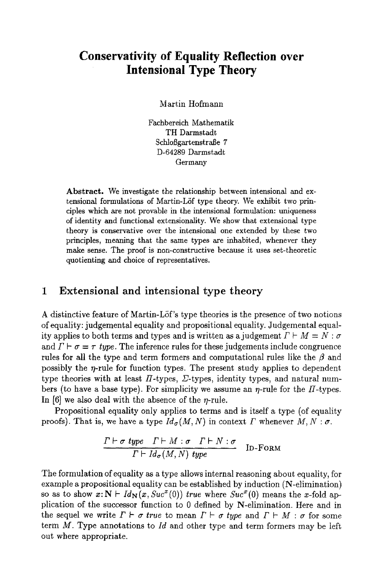# **Conservativity of Equality Reflection over Intensional Type Theory**

Martin Hofmann

Fachbereich Mathematik TH Darmstadt Schloßgartenstraße 7 D-64289 Darmstadt Germany

Abstract. We investigate the relationship between intensional and extensional formulations of Martin-LSf type theory. We exhibit two principles which are not provable in the intensional formulation: uniqueness of identity and functional extensionality. We show that extensional type theory is conservative over the intensional one extended by these two principles, meaning that the same types are inhabited, whenever they make sense. The proof is non-constructive because it uses set-theoretic quotienting and choice of representatives.

### **1 Extensional and intensional type theory**

A distinctive feature of Martin-LSf's type theories is the presence of two notions of equality: judgemental equality and propositional equality. Judgemental equality applies to both terms and types and is written as a judgement  $\Gamma \vdash M = N : \sigma$ and  $\Gamma \vdash \sigma = \tau$  *type.* The inference rules for these judgements include congruence rules for all the type and term formers and computational rules like the  $\beta$  and possibly the  $\eta$ -rule for function types. The present study applies to dependent type theories with at least  $\Pi$ -types,  $\Sigma$ -types, identity types, and natural numbers (to have a base type). For simplicity we assume an  $\eta$ -rule for the H-types. In  $[6]$  we also deal with the absence of the *n*-rule.

Propositional equality only applies to terms and is itself a type (of equality proofs). That is, we have a type  $Id_{\sigma}(M, N)$  in context  $\Gamma$  whenever  $M, N : \sigma$ .

$$
\frac{\Gamma \vdash \sigma \text{ type } \Gamma \vdash M : \sigma \quad \Gamma \vdash N : \sigma}{\Gamma \vdash \text{Id}_{\sigma}(M, N) \text{ type}} \qquad \text{ID-FORM}
$$

The formulation of equality as a type allows internal reasoning about equality, for example a propositional equality can be established by induction (N-elimination) so as to show  $x:\mathbf{N} \vdash Id_{\mathbf{N}}(x, Suc^{x}(0))$  *true* where  $Suc^{x}(0)$  means the x-fold application of the successor function to 0 defined by N-elimination. Here and in the sequel we write  $\Gamma \vdash \sigma$  true to mean  $\Gamma \vdash \sigma$  type and  $\Gamma \vdash M : \sigma$  for some term M. Type annotations to *Id* and other type and term formers may be left out where appropriate.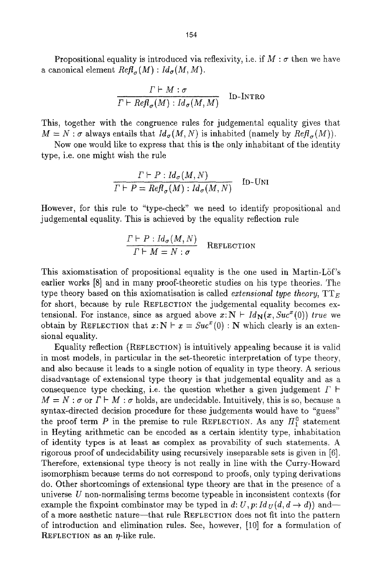Propositional equality is introduced via reflexivity, i.e. if  $M : \sigma$  then we have a canonical element  $Refl_{\sigma}(M)$ :  $Id_{\sigma}(M, M)$ .

$$
\frac{\Gamma \vdash M : \sigma}{\Gamma \vdash \mathit{Refl}_{\sigma}(M) : \mathit{Id}_{\sigma}(M, M)} \quad \text{In-INTRO}
$$

This, together with the congruence rules for judgemental equality gives that  $M = N : \sigma$  always entails that  $Id_{\sigma}(M, N)$  is inhabited (namely by  $Refl_{\sigma}(M)$ ).

Now one would like to express that this is the only inhabitant of the identity type, i.e. one might wish the rule

$$
\frac{\Gamma \vdash P : Id_{\sigma}(M, N)}{\Gamma \vdash P = \text{Refl}_{\sigma}(M) : Id_{\sigma}(M, N)} \quad \text{In-UNI}
$$

However, for this rule to "type-check" we need to identify propositional and judgemental equality. This is achieved by the equality reflection rule

$$
\frac{\Gamma \vdash P : Id_{\sigma}(M, N)}{\Gamma \vdash M = N : \sigma} \quad \text{REFECTION}
$$

This axiomatisation of propositional equality is the one used in Martin-Löf's earlier works [8] and in many proof-theoretic studies on his type theories. The type theory based on this axiomatisation is called *extensional type theory,*  $TT_{E}$ for short, because by rule REFLECTION the judgemental equality becomes extensional. For instance, since as argued above  $x:\mathbf{N} \vdash Id_{\mathbf{N}}(x, Suc^{x}(0))$  true we obtain by REFLECTION that  $x: N \vdash x = Suc^{x}(0) : N$  which clearly is an extensional equality.

Equality reflection (REFLECTION) is intuitively appealing because it is valid in most models, in particular in the set-theoretic interpretation of type theory, and also because it leads to a single notion of equality in type theory. A serious disadvantage of extensional type theory is that judgemental equality and as a consequence type checking, i.e. the question whether a given judgement  $\Gamma \vdash$  $M = N : \sigma$  or  $\Gamma \vdash M : \sigma$  holds, are undecidable. Intuitively, this is so, because a syntax-directed decision procedure for these judgements would have to "guess" the proof term P in the premise to rule REFLECTION. As any  $\Pi_1^0$  statement in Heyting arithmetic can be encoded as a certain identity type, inhabitation of identity types is at least as complex as provability of such statements. A rigorous proof of undecidability using recursively inseparable sets is given in [6]. Therefore, extensional type theory is not really in line with the Curry-Howard isomorphism because terms do not correspond to proofs, only typing derivations do. Other shortcomings of extensional type theory are that in the presence of a universe U non-normalising terms become typeable in inconsistent contexts (for example the fixpoint combinator may be typed in d:  $U, p: Id<sub>U</sub>(d, d \rightarrow d)$  and-of a more aesthetic nature--that rule REFLECTION does not fit into the pattern of introduction and elimination rules. See, however, [10] for a formulation of REFLECTION as an  $\eta$ -like rule.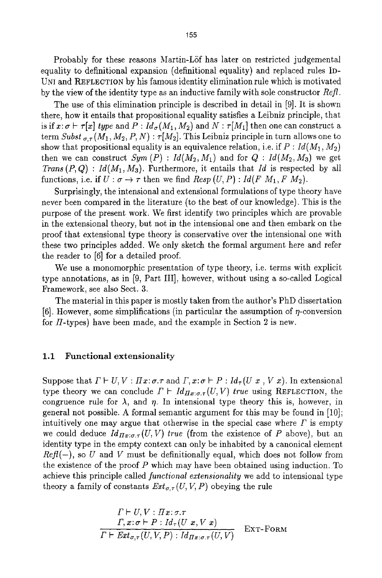Probably for these reasons Martin-Löf has later on restricted judgemental equality to definitional expansion (definitional equality) and replaced rules ID-UNI and REFLECTION by his famous identity elimination rule which is motivated by the view of the identity type as an inductive family with sole constructor *Refl.* 

The use of this elimination principle is described in detail in [9]. It is shown there, how it entails that propositional equality satisfies a Leibniz principle, that is if  $x:\sigma \vdash \tau[x]$  type and  $P: Id_{\sigma}(M_1, M_2)$  and  $N: \tau[M_1]$  then one can construct a term *Subst*  $\sigma_{\tau}(M_1, M_2, P, N)$ *:*  $\tau[M_2]$ . This Leibniz principle in turn allows one to show that propositional equality is an equivalence relation, i.e. if  $P: Id(M_1, M_2)$ then we can construct  $Sym(P) : Id(M_2, M_1)$  and for  $Q : Id(M_2, M_3)$  we get *Trans (P, Q) : Id(M1,* M3). Furthermore, it entails that *Id* is respected by all functions, i.e. if  $U : \sigma \to \tau$  then we find  $\text{Resp}(U, P) : \text{Id}(F \, M_1, F \, M_2)$ .

Surprisingly, the intensional and extensional formulations of type theory have never been compared in the literature (to the best of our knowledge). This is the purpose of the present work. We first identify two principles which are provable in the extensional theory, but not in the intensional one and then embark on the proof that extensional type theory is conservative over the intensional one with these two principles added. We only sketch the formal argument here and refer the reader to [6] for a detailed proof.

We use a monomorphic presentation of type theory, i.e. terms with explicit type annotations, as in [9, Part III], however, without using a so-called Logical Framework, see also Sect. 3.

The material in this paper is mostly taken from the author's PhD dissertation [6]. However, some simplifications (in particular the assumption of  $\eta$ -conversion for  $\Pi$ -types) have been made, and the example in Section 2 is new.

#### 1.1 Functional extensionality

Suppose that  $\Gamma \vdash U, V : \Pi x : \sigma \vdash \tau$  and  $\Gamma, x : \sigma \vdash P : Id_{\tau} (U x, V x)$ . In extensional type theory we can conclude  $\Gamma \vdash Id_{\Pi x:\sigma.\tau}(U, V)$  true using REFLECTION, the congruence rule for  $\lambda$ , and  $\eta$ . In intensional type theory this is, however, in general not possible. A formal semantic argument for this may be found in [10]; intuitively one may argue that otherwise in the special case where  $\Gamma$  is empty we could deduce  $Id_{\Pi x:\sigma,\tau}(U,V)$  true (from the existence of P above), but an identity type in the empty context can only be inhabited by a canonical element  $Ref(-)$ , so U and V must be definitionally equal, which does not follow from the existence of the proof P which may have been obtained using induction. To achieve this principle called *functional extensionality* we add to intensional type theory a family of constants  $Ext_{\sigma,\tau}(U, V, P)$  obeying the rule

$$
\frac{\Gamma \vdash U, V : \Pi x; \sigma.\tau}{\Gamma, x; \sigma \vdash P : Id_{\tau}(U x, V x)} \frac{\Gamma, x; \sigma \vdash P : Id_{\tau}(U x, V x)}{\Gamma \vdash Ext_{\sigma,\tau}(U, V, P) : Id_{\Pi x; \sigma.\tau}(U, V)} \quad \text{EXT-FORM}
$$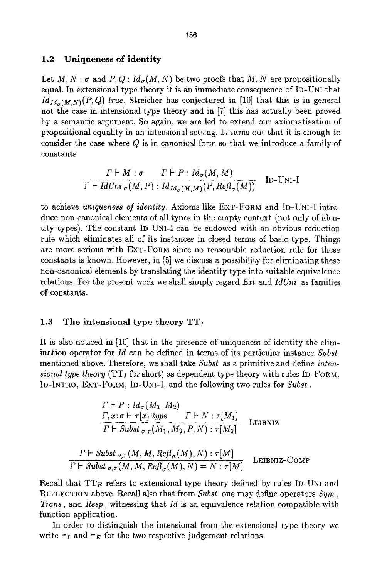#### 1.2 Uniqueness of identity

Let  $M, N : \sigma$  and  $P, Q : Id_{\sigma}(M, N)$  be two proofs that M, N are propositionally equal. In extensional type theory it is an immediate consequence of ID-UNI that  $Id_{Id_{\mathcal{A}}(M,N)}(P,Q)$  true. Streicher has conjectured in [10] that this is in general not the case in intensional type theory and in [7] this has actually been proved by a semantic argument. So again, we are led to extend our axiomatisation of propositional equality in an intensional setting. It turns out that it is enough to consider the case where Q is in canonical form so that we introduce a family of constants

$$
\frac{\Gamma \vdash M : \sigma \qquad \Gamma \vdash P : Id_{\sigma}(M, M)}{\Gamma \vdash IdUni_{\sigma}(M, P) : Id_{Id_{\sigma}(M, M)}(P, Ref_{\sigma}(M))} \quad \text{ID-UNI-I}
$$

to achieve *uniqueness of identity.* Axioms like ExT-FORM and ID-UNI-I introduce non-canonical elements of all types in the empty context (not only of identity types). The constant ID-UNI-I can be endowed with an obvious reduction rule which eliminates all of its instances in closed terms of basic type. Things are more serious with EXT-FORM since no reasonable reduction rule for these constants is known. However, in [5] we discuss a possibility for eliminating these non-canonical elements by translating the identity type into suitable equivalence relations. For the present work we shall simply regard *Ext* and *IdUni* as families of constants.

#### 1.3 The intensional type theory  $TT_{I}$

It is also noticed in [10] that in the presence of uniqueness of identity the elimination operator for *Id* can be defined in terms of its particular instance *Subst*  mentioned above. Therefore, we shall take *Subst* as a primitive and define *intensional type theory*  $(TT<sub>I</sub>$  for short) as dependent type theory with rules ID-FORM, ID-INTRO, EXT-FORM, ID-UNI-I, and the following two rules for *Subst.* 

$$
\frac{\Gamma \vdash P : Id_{\sigma}(M_1, M_2)}{\Gamma, x : \sigma \vdash \tau[x] \; type \quad \Gamma \vdash N : \tau[M_1] \quad \Gamma \vdash Subst_{\sigma, \tau}(M_1, M_2, P, N) : \tau[M_2]}
$$
LEIBNIZ

$$
\frac{\Gamma \vdash \textit{Subst}_{\sigma,\tau}(M,M,\textit{Refl}_{\sigma}(M),N) : \tau[M]}{\Gamma \vdash \textit{Subst}_{\sigma,\tau}(M,M,\textit{Refl}_{\sigma}(M),N) = N : \tau[M]} \quad \text{LEIBNIZ-COMP}
$$

Recall that  $TT_E$  refers to extensional type theory defined by rules ID-UNI and REFLECTION above. Recall also that from *Subst* one may define operators *Sym, Trans,* and *Resp,* witnessing that *Id* is an equivalence relation compatible with function application.

In order to distinguish the intensional from the extensional type theory we write  $\vdash_I$  and  $\vdash_E$  for the two respective judgement relations.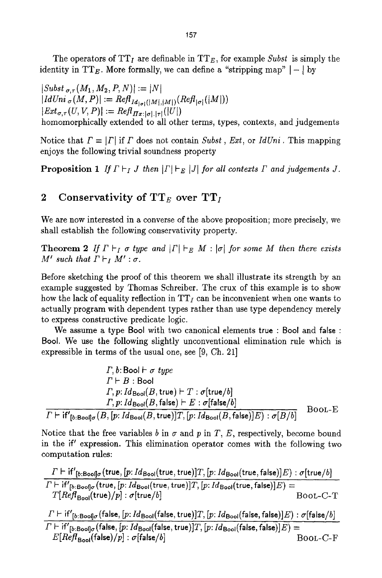The operators of  $TT_I$  are definable in  $TT_E$ , for example *Subst* is simply the identity in  $TT_E$ . More formally, we can define a "stripping map"  $|-|$  by

 $|Subst_{\sigma,\tau}(M_1, M_2, P, N)| := |N|$  $|IdUni_{\sigma}(M, P)| := Ref_{Id_{|\sigma|}([M], [M])}(Ref_{|\sigma|}([M]))$  $|Ext_{\sigma,\tau}(U, V, P)| := Ref_{\Pi x:|\sigma|,|\tau|}(|U|)$ homomorphically extended to all other terms, types, contexts, and judgements

Notice that  $\Gamma = |\Gamma|$  if  $\Gamma$  does not contain *Subst, Ext,* or *IdUni.* This mapping enjoys the following trivial soundness property

**Proposition 1** If  $\Gamma \vdash_I J$  then  $|\Gamma \vdash_E |J|$  for all contexts  $\Gamma$  and judgements  $J$ .

### 2 Conservativity of  $TT_E$  over  $TT_I$

We are now interested in a converse of the above proposition; more precisely, we shall establish the following conservativity property.

**Theorem 2** If  $\Gamma \vdash_I \sigma$  type and  $|\Gamma| \vdash_E M : |\sigma|$  for some M then there exists *M'* such that  $\Gamma \vdash_I M' : \sigma$ .

Before sketching the proof of this theorem we shall illustrate its strength by an example suggested by Thomas Schreiber. The crux of this example is to show how the lack of equality reflection in  $TT<sub>I</sub>$  can be inconvenient when one wants to actually program with dependent types rather than use type dependency merely to express constructive predicate logic.

We assume a type Bool with two canonical elements true : Bool and **false** : Bool. We use the following slightly unconventional elimination rule which is expressible in terms of the usual one, see [9, Ch. 21]

$$
\Gamma, b: \text{Bool} \vdash \sigma \text{ type}
$$
\n
$$
\Gamma \vdash B : \text{Bool}
$$
\n
$$
\Gamma, p: Id_{\text{Bool}}(B, \text{true}) \vdash T : \sigma[\text{true}/b]
$$
\n
$$
\Gamma, p: Id_{\text{Bool}}(B, \text{false}) \vdash E : \sigma[\text{false}/b]
$$
\n
$$
\Gamma \vdash \text{if'}_{[b:\text{Bool}]\sigma}(B, [p:Id_{\text{Bool}}(B, \text{true})]T, [p:Id_{\text{Bool}}(B, \text{false})]E) : \sigma[B/b]
$$
\n
$$
\text{Bool} \vdash E
$$

Notice that the free variables  $b$  in  $\sigma$  and  $p$  in  $T$ ,  $E$ , respectively, become bound in the if' expression. This elimination operator comes with the following two computation rules:

$$
\frac{\Gamma \vdash \mathrm{if'}_{[b:\text{Boof}] \sigma}(\mathrm{true}, [p:Id_{\text{Boof}}(\mathrm{true}, \mathrm{true})]T, [p:Id_{\text{Boof}}(\mathrm{true}, \mathrm{false})]E) : \sigma[\mathrm{true}/b]}{\Gamma \vdash \mathrm{if'}_{[b:\text{Boof}] \sigma}(\mathrm{true}, [p:Id_{\text{Boof}}(\mathrm{true}, \mathrm{true})]T, [p:Id_{\text{Boof}}(\mathrm{true}, \mathrm{false})]E) = \\ \frac{\Gamma[\mathrm{Ref}B_{\text{Boof}}(\mathrm{true})/p] : \sigma[\mathrm{true}/b]}{\mathrm{Bood}(\mathrm{true}/b]} \\ \frac{\Gamma \vdash \mathrm{if'}_{[b:\text{Boof}] \sigma}(\mathrm{false}, [p:Id_{\text{Boof}}(\mathrm{false}, \mathrm{true})]T, [p:Id_{\text{Boof}}(\mathrm{false}, \mathrm{false})]E) : \sigma[\mathrm{false}/b]}{\Gamma \vdash \mathrm{if'}_{[b:\text{Boof}] \sigma}(\mathrm{false}, [p:Id_{\text{Boof}}(\mathrm{false}, \mathrm{true})]T, [p:Id_{\text{Boof}}(\mathrm{false}, \mathrm{false})]E) = \\ E[\mathrm{Ref}B_{\text{Boof}}(\mathrm{false})/p] : \sigma[\mathrm{false}/b] \\ \text{BOOL--C--F}}
$$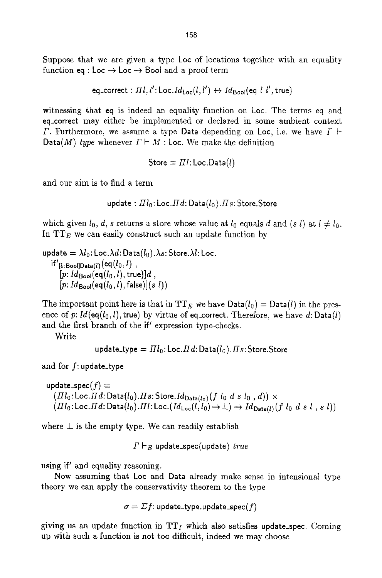Suppose that we are given a type Loc of locations together with an equality function eq : Loc  $\rightarrow$  Loc  $\rightarrow$  Boot and a proof term

eq\_correct :  $\pi l$ ,  $l'$ : Loc. $Id_{Loc}(l, l') \leftrightarrow Id_{Bool}(eq \ l \ l'$ , true)

witnessing that eq is indeed an equality function on Loc. The terms eq and eq\_correct may either be implemented or declared in some ambient context  $\Gamma$ . Furthermore, we assume a type Data depending on Loc, i.e. we have  $\Gamma \vdash$ Data(M) *type* whenever  $\Gamma \vdash M$  : Loc. We make the definition

 $Store = \Pi l$ : Loc.Data $(l)$ 

and our aim is to find a term

```
update : \pi l_0: Loc. \pi d: Data(l_0). \pi s: Store. Store
```
which given  $l_0$ , d, s returns a store whose value at  $l_0$  equals d and (s l) at  $l \neq l_0$ . In  $TT_E$  we can easily construct such an update function by

update  $=\lambda l_0$ : Loc. $\lambda d$ : Data $(l_0)$ . $\lambda s$ : Store. $\lambda l$ : Loc.  $if'_{[b:Bool]Data(l)}$  (eq  $(l_0, l)$ ,  $[p: Id_{\text{Bool}}(\text{eq}(l_0, l), \text{true})]$ <sub>d</sub>,  $[p: Id_{\text{Bool}}(\text{eq}(l_0, l), \text{false})](s \ l))$ 

The important point here is that in TT<sub>E</sub> we have  $Data(l_0) = Data(l)$  in the presence of p:  $Id(\operatorname{eq}(l_0, l), \operatorname{true})$  by virtue of eq\_correct. Therefore, we have d: Data(l) and the first branch of the  $i'$  expression type-checks.

Write

update\_type =  $III_0$ : Loc. $Hd$ : Data $(l_0)$ .  $Hs$ : Store. Store

and for f: update\_type

update\_spec( $f$ )  $=$  $(III<sub>0</sub>:Loc. Hd: Data(l<sub>0</sub>). Hs: Store. Id<sub>Data(l<sub>0</sub>)</sub>(f l<sub>0</sub> d s l<sub>0</sub> , d)) \times$  $(III_0:$  *Loc.* $\text{Id}$ :  $\text{Data}(l_0)$ . $\text{III}$ :  $\text{Loc.}(Id_{\text{Loc}}(l, l_0) \rightarrow \bot) \rightarrow Id_{\text{Data}(l)}(f \ l_0 \ d \ s \ l \ , \ s \ l))$ 

where  $\perp$  is the empty type. We can readily establish

 $\Gamma\vdash_E$  update\_spec(update)  $\mathit{true}$ 

using if' and equality reasoning.

Now assuming that Loc and Data already make sense in intensiona] type theory we can apply the conservativity theorem to the type

$$
\sigma = \Sigma f: \texttt{update\_type}.\texttt{update\_spec}(f)
$$

giving us an update function in  $TT_I$  which also satisfies update\_spec. Coming up with such a function is not too difficult, indeed we may choose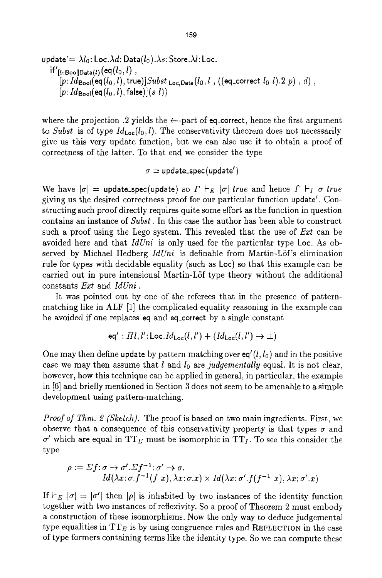$$
\begin{array}{ll}\text{update} = \lambda l_0 \text{:} \text{Loc}.\lambda d \text{:} \text{Data}(l_0).\lambda s \text{:} \text{Store}.\lambda l \text{:} \text{Loc.} \\ \text{if'}_{[b:\text{Bool}|\text{Data}(l)}(\text{eq}(l_0,l) \text{ , } \\ & [p:Id_{\text{Bool}}(\text{eq}(l_0,l), \text{true})] \text{Subst}_{\text{Loc},\text{Data}}(l_0,l \text{ , } ((\text{eq\_correct }l_0 \text{ } l).2 \text{ } p) \text{ , } d) \text{ , } \\ & [p:Id_{\text{Bool}}(\text{eq}(l_0,l), \text{false})](s \text{ } l))\end{array}
$$

where the projection .2 yields the  $\leftarrow$ -part of eq\_correct, hence the first argument to *Subst* is of type  $Id_{Loc}(l_0, l)$ . The conservativity theorem does not necessarily give us this very update function, but we can also use it to obtain a proof of correctness of the latter. To that end we consider the type

 $\sigma =$  update\_spec(update')

We have  $|\sigma|$  = update\_spec(update) so  $\Gamma \vdash_E |\sigma|$  true and hence  $\Gamma \vdash_I \sigma$  true giving us the desired correctness proof for our particular function update'. Constructing such proof directly requires quite some effort as the function in question contains an instance of *Subst.* In this case the author has been able to construct such a proof using the Lego system. This revealed that the use of *Ext* can be avoided here and that *IdUni* is only used for the particular type Loc. As observed by Michael Hedberg *IdUni* is definable from Martin-LSf's elimination rule for types with decidable equality (such as Loc) so that this example can be carried out in pure intensional Martin-LSf type theory without the additional constants *Ext* and *IdUni.* 

It was pointed out by one of the referees that in the presence of patternmatching like in ALF [1] the complicated equality reasoning in the example can be avoided if one replaces eq and eq\_correct by a single constant

eq' : 
$$
\Pi l, l':
$$
Loc. $Id_{Loc}(l, l') + (Id_{Loc}(l, l') \rightarrow \bot)$ 

One may then define update by pattern matching over  $eq'(l, l_0)$  and in the positive case we may then assume that  $l$  and  $l_0$  are *judgementally* equal. It is not clear, however, how this technique can be applied in general, in particular, the example in [6] and briefly mentioned in Section 3 does not seem to be amenable to a simple development using pattern-matching.

*Proof of Thm. 2 (Sketch).* The proof is based on two main ingredients. First, we observe that a consequence of this conservativity property is that types  $\sigma$  and  $\sigma'$  which are equal in TT<sub>E</sub> must be isomorphic in TT<sub>I</sub>. To see this consider the type

$$
\rho := \Sigma f : \sigma \to \sigma'. \Sigma f^{-1} : \sigma' \to \sigma.
$$
  

$$
Id(\lambda x : \sigma.f^{-1}(f x), \lambda x : \sigma.x) \times Id(\lambda x : \sigma'. f(f^{-1} x), \lambda x : \sigma'. x)
$$

If  $\vdash_E |\sigma| = |\sigma'|$  then  $|\rho|$  is inhabited by two instances of the identity function together with two instances of reflexivity. So a proof of Theorem 2 must embody a construction of these isomorphisms. Now the only way to deduce judgemental type equalities in  $TT_E$  is by using congruence rules and REFLECTION in the case of type formers containing terms like the identity type. So we can compute these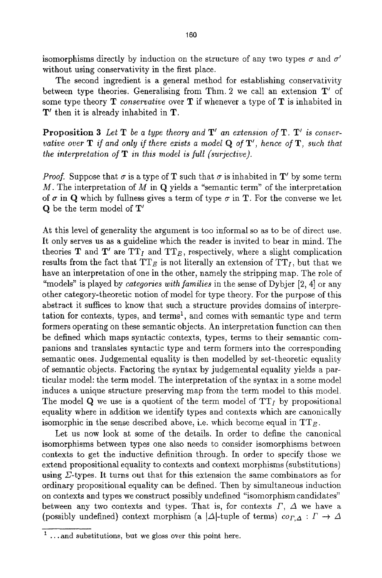isomorphisms directly by induction on the structure of any two types  $\sigma$  and  $\sigma'$ without using conservativity in the first place.

The second ingredient is a general method for establishing conservativity between type theories. Generalising from Thm. 2 we call an extension  $T'$  of some type theory T *conservative* over T if whenever a type of T is inhabited in  $T'$  then it is already inhabited in  $T$ .

**Proposition 3** Let **T** be a type theory and **T'** an extension of **T**. **T'** is conser*vative over* **T** if and only if there exists a model **Q** of **T**', hence of **T**, such that *the interpretation of T in this model is full (surjective).* 

*Proof.* Suppose that  $\sigma$  is a type of **T** such that  $\sigma$  is inhabited in **T**' by some term M. The interpretation of M in Q yields a "semantic term" of the interpretation of  $\sigma$  in Q which by fullness gives a term of type  $\sigma$  in T. For the converse we let  $Q$  be the term model of  $T'$ 

At this level of generality the argument is too informal so as to be of direct use. It only serves us as a guideline which the reader is invited to bear in mind. The theories **T** and **T'** are  $TT_I$  and  $TT_E$ , respectively, where a slight complication results from the fact that  $TT_E$  is not literally an extension of  $TT_I$ , but that we have an interpretation of one in the other, namely the stripping map. The role of "models" is played by *categories with families* in the sense of Dybjer [2, 4] or any other category-theoretic notion of model for type theory. For the purpose of this abstract it suffices to know that such a structure provides domains of interpretation for contexts, types, and terms<sup>1</sup>, and comes with semantic type and term formers operating on these semantic objects. An interpretation function can then be defined which maps syntactic contexts, types, terms to their semantic companions and translates syntactic type and term formers into the corresponding semantic ones. Judgemental equality is then modelled by set-theoretic equality of semantic objects. Factoring the syntax by judgemental equality yields a particular mode]: the term model The interpretation of the syntax in a some model induces a unique structure preserving map from the term model to this model. The model Q we use is a quotient of the term model of  $TT_I$  by propositional equality where in addition we identify types and contexts which are canonically isomorphic in the sense described above, i.e. which become equal in  $TT_{E}$ .

Let us now look at some of the details. In order to define the canonical isomorphisms between types one also needs to consider isomorphisms between contexts to get the inductive definition through. In order to specify those we extend propositional equality to contexts and context morphisms (substitutions) using  $\Sigma$ -types. It turns out that for this extension the same combinators as for ordinary propositional equality can be defined. Then by simultaneous induction on contexts and types we construct possibly undefined "isomorphism candidates" between any two contexts and types. That is, for contexts  $\Gamma$ ,  $\Delta$  we have a (possibly undefined) context morphism (a  $|\Delta|$ -tuple of terms)  $\chi$   $\colon \Gamma \to \Delta$ 

 $1 \dots$  and substitutions, but we gloss over this point here.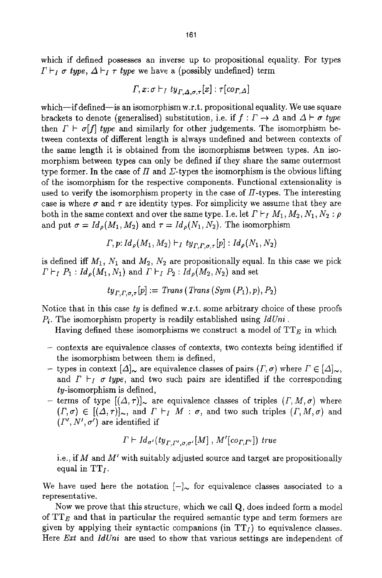which if defined possesses an inverse up to propositional equality. For types  $\Gamma \vdash_I \sigma$  type,  $\Delta \vdash_I \tau$  type we have a (possibly undefined) term

$$
\varGamma,x\colon\sigma\vdash_I ty_{\varGamma,\varDelta,\sigma,\tau}[x]:\tau[co_{\varGamma,\varDelta}]
$$

which-if defined-is an isomorphism w.r.t. propositional equality. We use square brackets to denote (generalised) substitution, i.e. if  $f: \Gamma \to \Delta$  and  $\Delta \vdash \sigma$  *type* then  $\Gamma \vdash \sigma[f]$  *type* and similarly for other judgements. The isomorphism between contexts of different length is always undefined and between contexts of the same length it is obtained from the isomorphisrns between types. An isomorphism between types can only be defined if they share the same outermost type former. In the case of  $\Pi$  and  $\Sigma$ -types the isomorphism is the obvious lifting of the isomorphism for the respective components. Functional extensionality is used to verify the isomorphism property in the case of  $\Pi$ -types. The interesting case is where  $\sigma$  and  $\tau$  are identity types. For simplicity we assume that they are both in the same context and over the same type. I.e. let  $\Gamma \vdash_I M_1, M_2, N_1, N_2 : \rho$ and put  $\sigma = Id_{\rho}(M_1, M_2)$  and  $\tau = Id_{\rho}(N_1, N_2)$ . The isomorphism

$$
\Gamma, p: Id_{\rho}(M_1, M_2) \vdash_I ty_{\Gamma, \Gamma, \sigma, \tau}[p]: Id_{\rho}(N_1, N_2)
$$

is defined iff  $M_1$ ,  $N_1$  and  $M_2$ ,  $N_2$  are propositionally equal. In this case we pick  $\Gamma \vdash_I P_1 : Id_{\rho}(M_1, N_1)$  and  $\Gamma \vdash_I P_2 : Id_{\rho}(M_2, N_2)$  and set

$$
ty_{\Gamma,\Gamma,\sigma,\tau}[p] := Trans(Trans(Sym(P_1),p),P_2)
$$

Notice that in this case *ty* is defined w.r.t, some arbitrary choice of these proofs Pi. The isomorphism property is readily established using *IdUni.* 

Having defined these isomorphisms we construct a model of  $TT_E$  in which

- contexts are equivalence classes of contexts, two contexts being identified if the isomorphism between them is defined,
- types in context  $[\Delta]_{\sim}$  are equivalence classes of pairs  $(\Gamma, \sigma)$  where  $\Gamma \in [\Delta]_{\sim}$ , and  $\Gamma \vdash_I \sigma$  type, and two such pairs are identified if the corresponding ty-isomorphism is defined,
- terms of type  $[(\Delta, \tau)]_{\sim}$  are equivalence classes of triples  $(\Gamma, M, \sigma)$  where  $(T, \sigma) \in [(\Delta, \tau)]_{\sim}$ , and  $\Gamma \vdash_I M : \sigma$ , and two such triples  $(\Gamma, M, \sigma)$  and  $(\Gamma', N', \sigma')$  are identified if

$$
\Gamma \vdash Id_{\sigma'}(ty_{\Gamma,\Gamma',\sigma,\sigma'}[M], M'[co_{\Gamma,\Gamma'}])
$$
 true

i.e., if  $M$  and  $M'$  with suitably adjusted source and target are propositionally equal in  $TT<sub>I</sub>$ .

We have used here the notation  $[-]_{\sim}$  for equivalence classes associated to a representative.

Now we prove that this structure, which we call  $Q$ , does indeed form a model of  $TT_E$  and that in particular the required semantic type and term formers are given by applying their syntactic companions (in  $TT<sub>I</sub>$ ) to equivalence classes. Here *Ext* and *IdUni* are used to show that various settings are independent of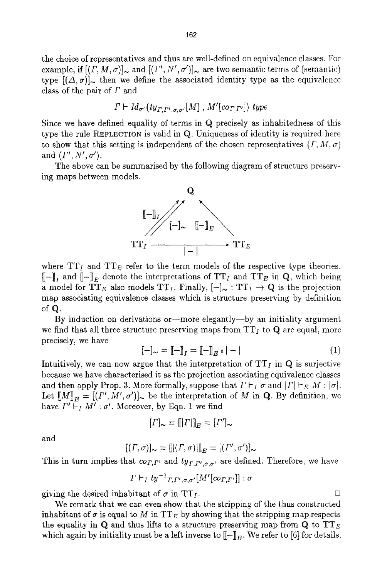the choice of representatives and thus are well-defined on equivalence classes. For example, if  $[(\Gamma, M, \sigma)]_{\sim}$  and  $[(\Gamma', N', \sigma')]_{\sim}$  are two semantic terms of (semantic) type  $[(\Delta, \sigma)]_{\sim}$  then we define the associated identity type as the equivalence class of the pair of  $\Gamma$  and

$$
\Gamma \vdash Id_{\sigma'}(ty_{\Gamma,\Gamma',\sigma,\sigma'}[M], M'[co_{\Gamma,\Gamma'}])
$$
 type

Since we have defined equality of terms in Q precisely as inhabitedness of this type the rule REFLECTION is valid in Q. Uniqueness of identity is required here to show that this setting is independent of the chosen representatives  $(\Gamma, M, \sigma)$ and  $(\Gamma', N', \sigma')$ .

The above can be summarised by the following diagram of structure preserving maps between models.



where  $TT_I$  and  $TT_E$  refer to the term models of the respective type theories.  $[-]$ <sub>L</sub> and  $[-]$ <sub>E</sub> denote the interpretations of TT<sub>I</sub> and TT<sub>E</sub> in Q, which being a model for TT<sub>E</sub> also models TT<sub>I</sub>. Finally,  $[-]_{\sim} : TT_I \rightarrow Q$  is the projection map associating equivalence classes which is structure preserving by definition of Q.

By induction on derivations or-more elegantly--by an initiality argument we find that all three structure preserving maps from  $TT_I$  to Q are equal, more precisely, we have

$$
[-]_{\sim} = [\![ - ]\!]_I = [\![ - ]\!]_E \circ |- \tag{1}
$$

Intuitively, we can now argue that the interpretation of  $TT<sub>I</sub>$  in Q is surjective because we have characterised it as the projection associating equivalence classes and then apply Prop. 3. More formally, suppose that  $\Gamma \vdash_I \sigma$  and  $|\Gamma| \vdash_E M : |\sigma|$ . Let  $[M]_E = [(I', M', \sigma')]_{\sim}$  be the interpretation of M in Q. By definition, we have  $\Gamma' \vdash_I M' : \sigma'$ . Moreover, by Eqn. 1 we find

$$
[F]_{\sim} = [[F]]_{E} = [F']_{\sim}
$$

and

$$
[(\Gamma, \sigma)]_{\sim} = [[(\Gamma, \sigma)][]_{E} = [(\Gamma', \sigma')]_{\sim}
$$

This in turn implies that  $co_{T,\Gamma'}$  and  $ty_{T,\Gamma',\sigma,\sigma'}$  are defined. Therefore, we have

$$
\Gamma \vdash_I ty^{-1}{}_{\Gamma,\Gamma',\sigma,\sigma'}[M'[cor_{,\Gamma'}]] : \sigma
$$

giving the desired inhabitant of  $\sigma$  in TT<sub>I</sub>.

We remark that we can even show that the stripping of the thus constructed inhabitant of  $\sigma$  is equal to M in TT<sub>E</sub> by showing that the stripping map respects the equality in Q and thus lifts to a structure preserving map from Q to  $TT_E$ which again by initiality must be a left inverse to  $[-]_E$ . We refer to [6] for details.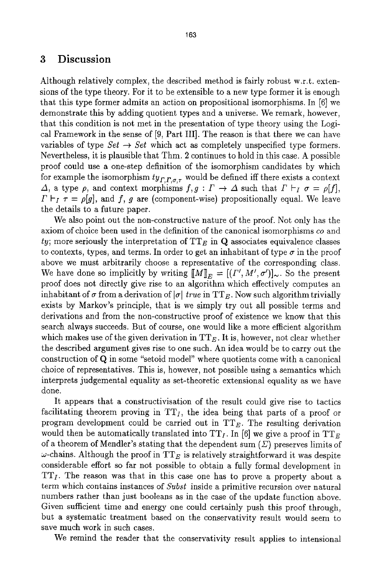### 3 Discussion

Although relatively complex, the described method is fairly robust w.r.t, extensions of the type theory. For it to be extensible to a new type former it is enough that this type former admits an action on propositional isomorphisms. In [6] we demonstrate this by adding quotient types and a universe. We remark, however, that this condition is not met in the presentation of type theory using the Logical Framework in the sense of [9, Part III]. The reason is that there we can have variables of type  $Set \rightarrow Set$  which act as completely unspecified type formers. Nevertheless, it is plausible that Thm. 2 continues to hold in this case. A possible proof could use a one-step definition of the isomorphism candidates by which for example the isomorphism  $ty_{r,r,a,r}$  would be defined iff there exists a context  $\Delta$ , a type  $\rho$ , and context morphisms  $f, g: \Gamma \to \Delta$  such that  $\Gamma \vdash_I \sigma = \rho[f],$  $\Gamma \vdash_I \tau = \rho[g]$ , and f, g are (component-wise) propositionally equal. We leave the details to a future paper.

We also point out the non-constructive nature of the proof. Not only has the axiom of choice been used in the definition of the canonical isomorphisms *co* and  $ty$ ; more seriously the interpretation of  $TT_E$  in Q associates equivalence classes to contexts, types, and terms. In order to get an inhabitant of type  $\sigma$  in the proof above we must arbitrarily choose a representative of the corresponding class. We have done so implicitly by writing  $[M]_E = [(I', M', \sigma')]_{\sim}$ . So the present proof does not directly give rise to an algorithm which effectively computes an inhabitant of  $\sigma$  from a derivation of  $|\sigma|$  *true* in TT<sub>E</sub>. Now such algorithm trivially exists by Markov's principle, that is we simply try out all possible terms and derivations and from the non-constructive proof of existence we know that this search always succeeds. But of course, one would like a more efficient algorithm which makes use of the given derivation in  $TT_E$ . It is, however, not clear whether the described argument gives rise to one such. An idea would be to carry out the construction of Q in some "setoid model" where quotients come with a canonical choice of representatives. This is, however, not possible using a semantics which interprets judgemental equality as set-theoretic extensional equality as we have done.

It appears that a constructivisation of the result could give rise to tactics facilitating theorem proving in  $TT_I$ , the idea being that parts of a proof or program development could be carried out in  $TT_E$ . The resulting derivation would then be automatically translated into  $TT_I$ . In [6] we give a proof in  $TT_E$ of a theorem of Mendler's stating that the dependent sum  $(\Sigma)$  preserves limits of  $\omega$ -chains. Although the proof in TT<sub>E</sub> is relatively straightforward it was despite considerable effort so far not possible to obtain a fully formal development in  $TT_I$ . The reason was that in this case one has to prove a property about a term which contains instances of *Subst* inside a primitive recursion over natural numbers rather than just booleans as in the case of the update function above. Given sufficient time and energy one could certainly push this proof through, but a systematic treatment based on the conservativity result would seem to save much work in such cases.

We remind the reader that the conservativity result applies to intensional